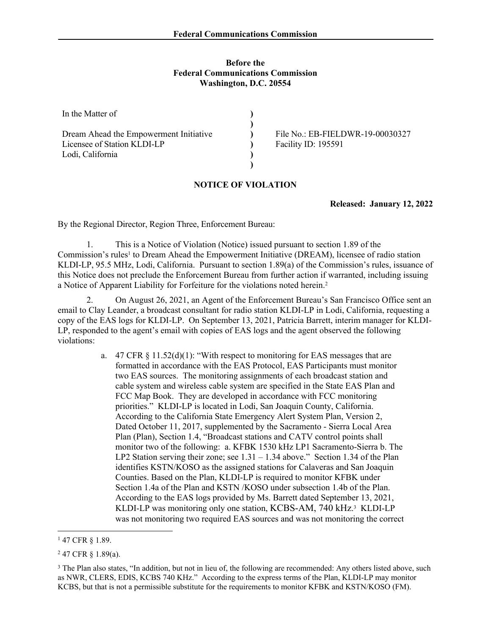## **Before the Federal Communications Commission Washington, D.C. 20554**

| In the Matter of                                                      |                                                         |
|-----------------------------------------------------------------------|---------------------------------------------------------|
| Dream Ahead the Empowerment Initiative<br>Licensee of Station KLDI-LP | File No.: EB-FIELDWR-19-00030327<br>Facility ID: 195591 |
| Lodi, California                                                      |                                                         |
|                                                                       |                                                         |

## **NOTICE OF VIOLATION**

**Released: January 12, 2022**

By the Regional Director, Region Three, Enforcement Bureau:

1. This is a Notice of Violation (Notice) issued pursuant to section 1.89 of the Commission's rules<sup>1</sup> to Dream Ahead the Empowerment Initiative (DREAM), licensee of radio station KLDI-LP, 95.5 MHz, Lodi, California. Pursuant to section 1.89(a) of the Commission's rules, issuance of this Notice does not preclude the Enforcement Bureau from further action if warranted, including issuing a Notice of Apparent Liability for Forfeiture for the violations noted herein.<sup>2</sup>

2. On August 26, 2021, an Agent of the Enforcement Bureau's San Francisco Office sent an email to Clay Leander, a broadcast consultant for radio station KLDI-LP in Lodi, California, requesting a copy of the EAS logs for KLDI-LP. On September 13, 2021, Patricia Barrett, interim manager for KLDI-LP, responded to the agent's email with copies of EAS logs and the agent observed the following violations:

> a. 47 CFR § 11.52(d)(1): "With respect to monitoring for EAS messages that are formatted in accordance with the EAS Protocol, EAS Participants must monitor two EAS sources. The monitoring assignments of each broadcast station and cable system and wireless cable system are specified in the State EAS Plan and FCC Map Book. They are developed in accordance with FCC monitoring priorities." KLDI-LP is located in Lodi, San Joaquin County, California. According to the California State Emergency Alert System Plan, Version 2, Dated October 11, 2017, supplemented by the Sacramento - Sierra Local Area Plan (Plan), Section 1.4, "Broadcast stations and CATV control points shall monitor two of the following: a. KFBK 1530 kHz LP1 Sacramento-Sierra b. The LP2 Station serving their zone; see 1.31 – 1.34 above." Section 1.34 of the Plan identifies KSTN/KOSO as the assigned stations for Calaveras and San Joaquin Counties. Based on the Plan, KLDI-LP is required to monitor KFBK under Section 1.4a of the Plan and KSTN /KOSO under subsection 1.4b of the Plan. According to the EAS logs provided by Ms. Barrett dated September 13, 2021, KLDI-LP was monitoring only one station, KCBS-AM, 740 kHz. 3 KLDI-LP was not monitoring two required EAS sources and was not monitoring the correct

<sup>1</sup> 47 CFR § 1.89.

 $247$  CFR § 1.89(a).

<sup>&</sup>lt;sup>3</sup> The Plan also states, "In addition, but not in lieu of, the following are recommended: Any others listed above, such as NWR, CLERS, EDIS, KCBS 740 KHz." According to the express terms of the Plan, KLDI-LP may monitor KCBS, but that is not a permissible substitute for the requirements to monitor KFBK and KSTN/KOSO (FM).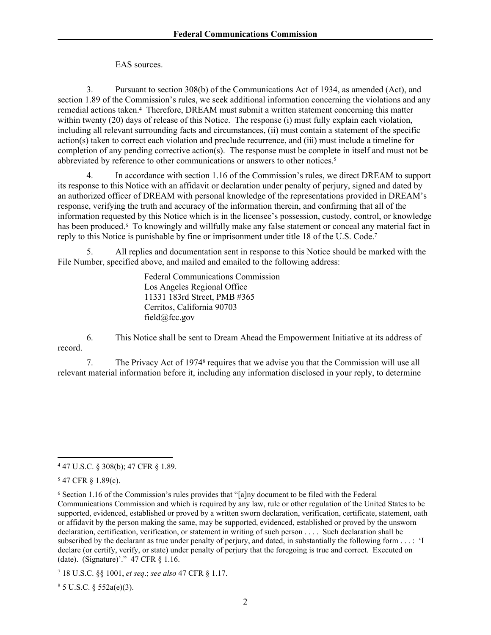EAS sources.

3. Pursuant to section 308(b) of the Communications Act of 1934, as amended (Act), and section 1.89 of the Commission's rules, we seek additional information concerning the violations and any remedial actions taken.<sup>4</sup> Therefore, DREAM must submit a written statement concerning this matter within twenty (20) days of release of this Notice. The response (i) must fully explain each violation, including all relevant surrounding facts and circumstances, (ii) must contain a statement of the specific action(s) taken to correct each violation and preclude recurrence, and (iii) must include a timeline for completion of any pending corrective action(s). The response must be complete in itself and must not be abbreviated by reference to other communications or answers to other notices.<sup>5</sup>

4. In accordance with section 1.16 of the Commission's rules, we direct DREAM to support its response to this Notice with an affidavit or declaration under penalty of perjury, signed and dated by an authorized officer of DREAM with personal knowledge of the representations provided in DREAM's response, verifying the truth and accuracy of the information therein, and confirming that all of the information requested by this Notice which is in the licensee's possession, custody, control, or knowledge has been produced.<sup>6</sup> To knowingly and willfully make any false statement or conceal any material fact in reply to this Notice is punishable by fine or imprisonment under title 18 of the U.S. Code.<sup>7</sup>

5. All replies and documentation sent in response to this Notice should be marked with the File Number, specified above, and mailed and emailed to the following address:

> Federal Communications Commission Los Angeles Regional Office 11331 183rd Street, PMB #365 Cerritos, California 90703 field@fcc.gov

6. This Notice shall be sent to Dream Ahead the Empowerment Initiative at its address of record.

7. The Privacy Act of 1974<sup>8</sup> requires that we advise you that the Commission will use all relevant material information before it, including any information disclosed in your reply, to determine

 $85 \text{ U.S.C. }$  § 552a(e)(3).

<sup>4</sup> 47 U.S.C. § 308(b); 47 CFR § 1.89.

<sup>5</sup> 47 CFR § 1.89(c).

<sup>6</sup> Section 1.16 of the Commission's rules provides that "[a]ny document to be filed with the Federal Communications Commission and which is required by any law, rule or other regulation of the United States to be supported, evidenced, established or proved by a written sworn declaration, verification, certificate, statement, oath or affidavit by the person making the same, may be supported, evidenced, established or proved by the unsworn declaration, certification, verification, or statement in writing of such person . . . . Such declaration shall be subscribed by the declarant as true under penalty of perjury, and dated, in substantially the following form . . . : 'I declare (or certify, verify, or state) under penalty of perjury that the foregoing is true and correct. Executed on (date). (Signature)'." 47 CFR § 1.16.

<sup>7</sup> 18 U.S.C. §§ 1001, *et seq*.; *see also* 47 CFR § 1.17.